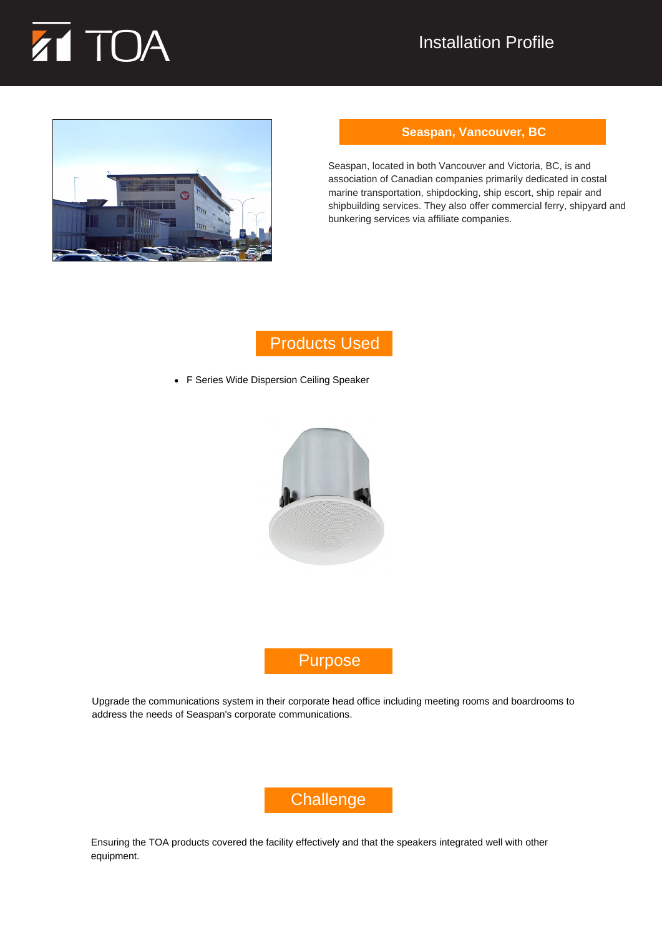



#### **Seaspan, Vancouver, BC**

Seaspan, located in both Vancouver and Victoria, BC, is and association of Canadian companies primarily dedicated in costal marine transportation, shipdocking, ship escort, ship repair and shipbuilding services. They also offer commercial ferry, shipyard and bunkering services via affiliate companies.

## Products Used

F Series Wide Dispersion Ceiling Speaker



## Purpose

Upgrade the communications system in their corporate head office including meeting rooms and boardrooms to address the needs of Seaspan's corporate communications.

# **Challenge**

Ensuring the TOA products covered the facility effectively and that the speakers integrated well with other equipment.